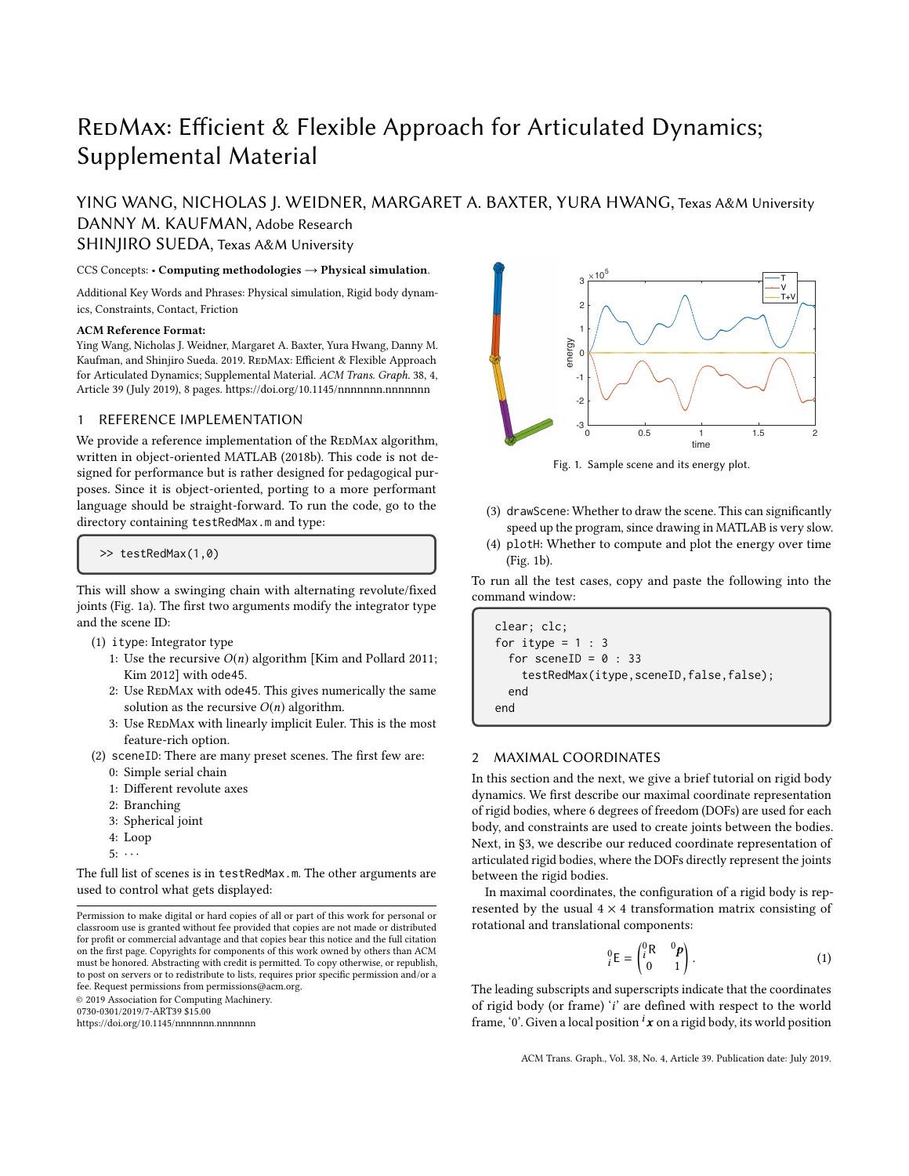# REDMAX: Efficient & Flexible Approach for Articulated Dynamics; Supplemental Material

YING WANG, NICHOLAS J. WEIDNER, MARGARET A. BAXTER, YURA HWANG, Texas A&M University

DANNY M. KAUFMAN, Adobe Research

SHINJIRO SUEDA, Texas A&M University

CCS Concepts: • Computing methodologies → Physical simulation.

Additional Key Words and Phrases: Physical simulation, Rigid body dynamics, Constraints, Contact, Friction

#### ACM Reference Format:

Ying Wang, Nicholas J. Weidner, Margaret A. Baxter, Yura Hwang, Danny M. Kaufman, and Shinjiro Sueda. 2019. REDMAX: Efficient & Flexible Approach for Articulated Dynamics; Supplemental Material. ACM Trans. Graph. 38, 4, Article 39 (July 2019), [8](#page-7-0) pages.<https://doi.org/10.1145/nnnnnnn.nnnnnnn>

## 1 REFERENCE IMPLEMENTATION

We provide a reference implementation of the REDMAX algorithm, written in object-oriented MATLAB (2018b). This code is not designed for performance but is rather designed for pedagogical purposes. Since it is object-oriented, porting to a more performant language should be straight-forward. To run the code, go to the directory containing testRedMax.m and type:

>> testRedMax(1,0)

This will show a swinging chain with alternating revolute/fixed joints [\(Fig. 1a\)](#page-0-0). The first two arguments modify the integrator type and the scene ID:

- (1) itype: Integrator type
	- 1: Use the recursive  $O(n)$  algorithm [\[Kim and Pollard 2011;](#page-6-0) [Kim 2012\]](#page-6-1) with ode45.
	- 2: Use REDMAX with ode45. This gives numerically the same solution as the recursive  $O(n)$  algorithm.
	- 3: Use REDMAX with linearly implicit Euler. This is the most feature-rich option.
- (2) sceneID: There are many preset scenes. The first few are: 0: Simple serial chain
	- 1: Different revolute axes
	- 2: Branching
	- 3: Spherical joint
	- 4: Loop
	- $5: \cdots$

The full list of scenes is in testRedMax.m. The other arguments are used to control what gets displayed:

0730-0301/2019/7-ART39 \$15.00

<https://doi.org/10.1145/nnnnnnn.nnnnnnn>

<span id="page-0-0"></span>

Fig. 1. Sample scene and its energy plot.

- (3) drawScene: Whether to draw the scene. This can significantly speed up the program, since drawing in MATLAB is very slow.
- (4) plotH: Whether to compute and plot the energy over time [\(Fig. 1b\)](#page-0-0).

To run all the test cases, copy and paste the following into the command window:

```
clear; clc;
for itype = 1 : 3for sceneID = 0 : 33testRedMax(itype,sceneID,false,false);
  end
end
```
## 2 MAXIMAL COORDINATES

In this section and the next, we give a brief tutorial on rigid body dynamics. We first describe our maximal coordinate representation of rigid bodies, where 6 degrees of freedom (DOFs) are used for each body, and constraints are used to create joints between the bodies. Next, in [§3,](#page-1-0) we describe our reduced coordinate representation of articulated rigid bodies, where the DOFs directly represent the joints between the rigid bodies.

In maximal coordinates, the configuration of a rigid body is represented by the usual  $4 \times 4$  transformation matrix consisting of rotational and translational components:

$$
{}_{i}^{0}E = \begin{pmatrix} {}_{i}^{0}R & {}_{i}^{0}P \\ {}_{0} & 1 \end{pmatrix}.
$$
 (1)

The leading subscripts and superscripts indicate that the coordinates of rigid body (or frame) 'i' are defined with respect to the world frame, '0'. Given a local position  $\mathbf{x}$  on a rigid body, its world position

Permission to make digital or hard copies of all or part of this work for personal or classroom use is granted without fee provided that copies are not made or distributed for profit or commercial advantage and that copies bear this notice and the full citation on the first page. Copyrights for components of this work owned by others than ACM must be honored. Abstracting with credit is permitted. To copy otherwise, or republish, to post on servers or to redistribute to lists, requires prior specific permission and/or a fee. Request permissions from permissions@acm.org. © 2019 Association for Computing Machinery.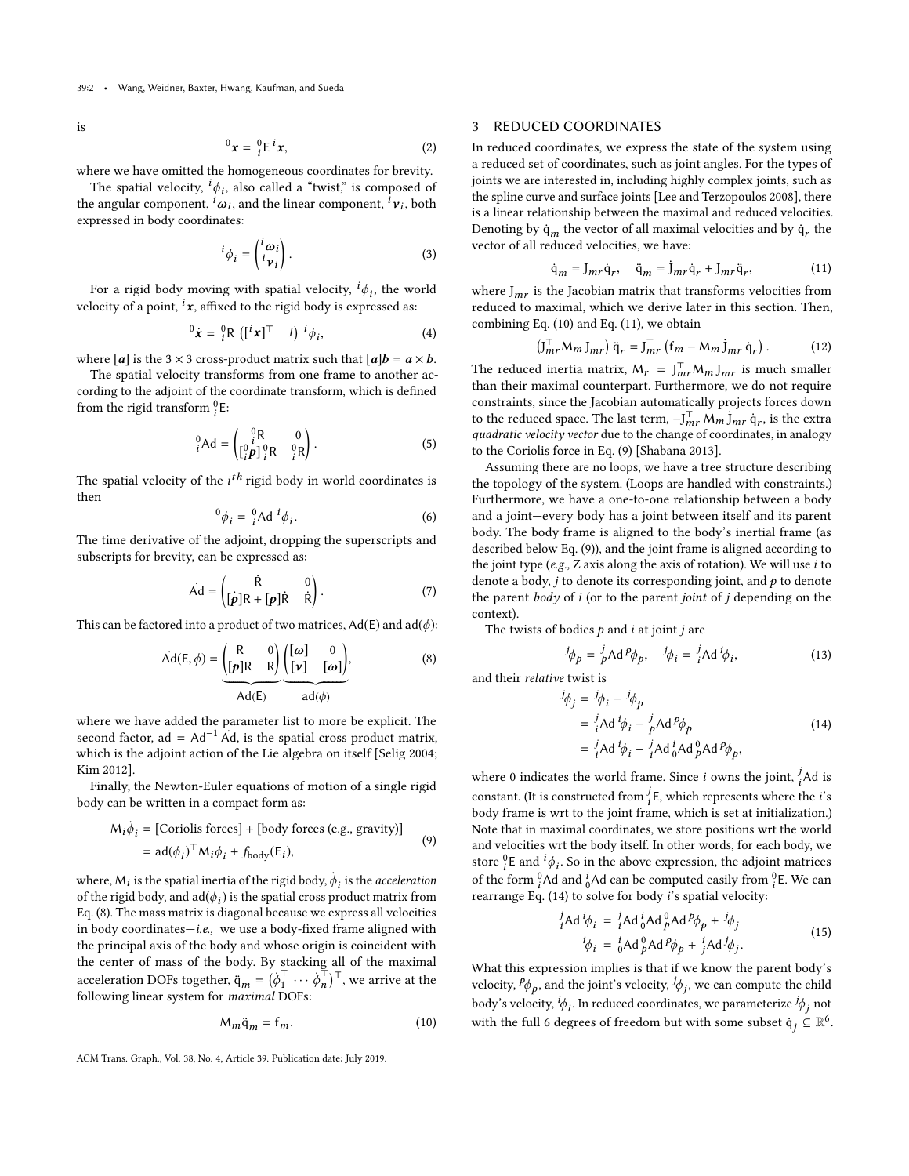is

$$
{}^{0}\mathbf{x} = {}^{0}_{i}\mathsf{E}^{i}\mathbf{x}, \qquad (2)
$$

where we have omitted the homogeneous coordinates for brevity.

The spatial velocity,  ${}^{i}\phi_{i}$ , also called a "twist," is composed of the angular component,  ${}^{i}\omega_{i}$ , and the linear component,  ${}^{i}\nu_{i}$ , both expressed in body coordinates: expressed in body coordinates:

$$
{}^{i}\phi_{i} = \begin{pmatrix} {}^{i}\omega_{i} \\ {}^{i}\nu_{i} \end{pmatrix} . \tag{3}
$$

For a rigid body moving with spatial velocity,  ${}^{i}\phi_{i}$ , the world<br>locity of a point  ${}^{i}x$  offixed to the rigid body is expressed as: velocity of a point,  $\boldsymbol{i}$ **x**, affixed to the rigid body is expressed as:

$$
{}^{0}\dot{\boldsymbol{x}} = {}^{0}_{i}R \left( [{}^{i}\boldsymbol{x}]^{\top} \quad I \right) {}^{i}\phi_{i}, \tag{4}
$$

where [*a*] is the 3  $\times$  3 cross-product matrix such that [*a*]**.** 

The spatial velocity transforms from one frame to another according to the adjoint of the coordinate transform, which is defined from the rigid transform  $_i^0$ E:

$$
{}_{i}^{0}\text{Ad} = \begin{pmatrix} {}_{i}^{0}\text{R} & 0 \\ {}_{i}^{0}p_1 {}_{i}^{0}\text{R} & {}_{i}^{0}\text{R} \end{pmatrix}.
$$
 (5)

The spatial velocity of the  $i^{th}$  rigid body in world coordinates is then then

$$
{}^{0}\phi_{i} = {}^{0}_{i}\text{Ad}{}^{i}\phi_{i}.
$$
 (6)

The time derivative of the adjoint, dropping the superscripts and subscripts for brevity, can be expressed as:

$$
\dot{\mathbf{A}}\mathbf{d} = \begin{pmatrix} \dot{\mathbf{R}} & 0 \\ [\mathbf{p}]\mathbf{R} + [\mathbf{p}]\dot{\mathbf{R}} & \dot{\mathbf{R}} \end{pmatrix}.
$$
 (7)

This can be factored into a product of two matrices,  $Ad(E)$  and  $ad(\phi)$ :

<span id="page-1-1"></span>
$$
\text{Ad}(\mathsf{E}, \phi) = \underbrace{\begin{pmatrix} \mathsf{R} & 0 \\ \left[\mathbf{p}\right] \mathsf{R} & \mathsf{R} \end{pmatrix}}_{\text{Ad}(\mathsf{E})} \underbrace{\begin{pmatrix} [\omega] & 0 \\ \left[\mathbf{r}\right] & [\omega] \end{pmatrix}}_{\text{ad}(\phi)},\tag{8}
$$

where we have added the parameter list to more be explicit. The second factor, ad =  $Ad^{-1}$  Ad, is the spatial cross product matrix, which is the adjoint action of the Lie algebra on itself [\[Selig 2004;](#page-7-1) [Kim 2012\]](#page-6-1).

Finally, the Newton-Euler equations of motion of a single rigid body can be written in a compact form as:

<span id="page-1-4"></span>
$$
M_i \dot{\phi}_i = [\text{Coriolis forces}] + [\text{body forces (e.g., gravity)}]
$$
  
= 
$$
ad(\phi_i)^{\top} M_i \phi_i + f_{\text{body}}(E_i),
$$
 (9)

where,  $M_i$  is the spatial inertia of the rigid body,  $\dot{\phi}_i$  is the *acceleration* of the rigid body, and ad( $\phi$ ) is the spatial cross product matrix from of the rigid body, and  $ad(\phi_i)$  is the spatial cross product matrix from<br>Eq. (8) The mass matrix is diagonal because we express all velocities [Eq. \(8\).](#page-1-1) The mass matrix is diagonal because we express all velocities in body coordinates-i.e., we use a body-fixed frame aligned with the principal axis of the body and whose origin is coincident with the center of mass of the body. By stacking all of the maximal acceleration DOFs together,  $\ddot{q}_m = (\dot{\phi}_1^T)$  $\begin{matrix} \nabla_1 & \cdots & \phi_n^{\top} \\
\vdots & \ddots & \vdots \\
\mathsf{DOEs:} & \end{matrix}$  $\left(\begin{matrix} \overline{r} \\ n \end{matrix}\right)^{\top}$ , we arrive at the following linear system for maximal DOFs:

<span id="page-1-2"></span>
$$
M_m \ddot{q}_m = f_m. \tag{10}
$$

ACM Trans. Graph., Vol. 38, No. 4, Article 39. Publication date: July 2019.

## <span id="page-1-0"></span>3 REDUCED COORDINATES

In reduced coordinates, we express the state of the system using a reduced set of coordinates, such as joint angles. For the types of joints we are interested in, including highly complex joints, such as the spline curve and surface joints [\[Lee and Terzopoulos 2008\]](#page-6-2), there is a linear relationship between the maximal and reduced velocities. Denoting by  $\dot{\mathsf{q}}_m$  the vector of all maximal velocities and by  $\dot{\mathsf{q}}_r$  the vector of all reduced velocities, we have:

<span id="page-1-3"></span>
$$
\dot{\mathbf{q}}_m = \mathbf{J}_{mr}\dot{\mathbf{q}}_r, \quad \ddot{\mathbf{q}}_m = \dot{\mathbf{J}}_{mr}\dot{\mathbf{q}}_r + \mathbf{J}_{mr}\ddot{\mathbf{q}}_r,\tag{11}
$$

where  $J_{mr}$  is the Jacobian matrix that transforms velocities from reduced to maximal, which we derive later in this section. Then, combining [Eq. \(10\)](#page-1-2) and [Eq. \(11\),](#page-1-3) we obtain

$$
\left(\mathbf{J}_{mr}^{\top}\mathbf{M}_{m}\mathbf{J}_{mr}\right)\ddot{\mathbf{q}}_{r}=\mathbf{J}_{mr}^{\top}\left(\mathbf{f}_{m}-\mathbf{M}_{m}\mathbf{J}_{mr}\dot{\mathbf{q}}_{r}\right). \tag{12}
$$

The reduced inertia matrix,  $M_r = \int_{mr}^{T} M_m \int_{mr}$  is much smaller than their maximal counterpart. Furthermore, we do not require constraints, since the Jacobian automatically projects forces down to the reduced space. The last term,  $-J_{mr}^{\top} M_m \dot{J}_{mr} \dot{q}_r$ , is the extra quadratic velocity vector due to the change of coordinates, in analogy to the Coriolis force in [Eq. \(9\)](#page-1-4) [\[Shabana 2013\]](#page-7-2).

Assuming there are no loops, we have a tree structure describing the topology of the system. (Loops are handled with constraints.) Furthermore, we have a one-to-one relationship between a body and a joint—every body has a joint between itself and its parent body. The body frame is aligned to the body's inertial frame (as described below [Eq. \(9\)\)](#page-1-4), and the joint frame is aligned according to the joint type (e.g.,  $Z$  axis along the axis of rotation). We will use  $i$  to denote a body,  $j$  to denote its corresponding joint, and  $p$  to denote the parent  $body$  of  $i$  (or to the parent joint of  $j$  depending on the context).

The twists of bodies  $p$  and  $i$  at joint  $j$  are

$$
{}^{j}\phi_{p} = {}^{j}_{p}\text{Ad}^{p}\phi_{p}, \quad {}^{j}\phi_{i} = {}^{j}_{i}\text{Ad}^{i}\phi_{i}, \tag{13}
$$

<span id="page-1-5"></span>and their relative twist is j

$$
\dot{\phi}_j = \frac{j_{\phi_i} - j_{\phi_p}}{i A d \phi_i - \frac{j}{p} A d^p \phi_p}
$$
\n
$$
= \frac{j}{i} A d^i \phi_i - \frac{j}{i} A d^i \phi_i A d^p \phi_p,
$$
\n(14)

where 0 indicates the world frame. Since *i* owns the joint,  ${}^{j}_{i}$ Ad is constant. (It is constructed from  $i<sup>i</sup>$ E, which represents where the *i*'s<br>hody frame is wet to the joint frame, which is set at initialization body frame is wrt to the joint frame, which is set at initialization.) Note that in maximal coordinates, we store positions wrt the world and velocities wrt the body itself. In other words, for each body, we store  ${}_{1}^{0}$ E and  ${}_{1}^{i} \phi_{i}$ . So in the above expression, the adjoint matrices of the form  ${}^0_i$ Ad and  ${}^i_0$ Ad can be computed easily from  ${}^0_i$ E. We can rearrange [Eq. \(14\)](#page-1-5) to solve for body i's spatial velocity:

$$
{}_{i}^{j}Ad\,i\phi_{i} = {}_{i}^{j}Ad\,i_{0}^{i}Ad\,i_{p}^{0}Ad\,i_{p}^{0} + {}_{j}^{j}\phi_{j}
$$
  
\n
$$
{}_{i}^{i}\phi_{i} = {}_{0}^{i}Ad\,i_{p}^{0}Ad\,i_{p}^{0} + {}_{j}^{i}Ad\,i_{p}^{i}.
$$
\n(15)

<span id="page-1-6"></span>What this expression implies is that if we know the parent body's velocity,  $p_{\phi_p}$ , and the joint's velocity,  $\psi_j$ , we can compute the child body's velocity,  ${}^{i}\phi_{i}$ . In reduced coordinates, we parameterize  ${}^{j}\phi_{j}$  not with the full 6 degrees of freedom but with some subset  $\dot{q}_j \subseteq \mathbb{R}^6$ .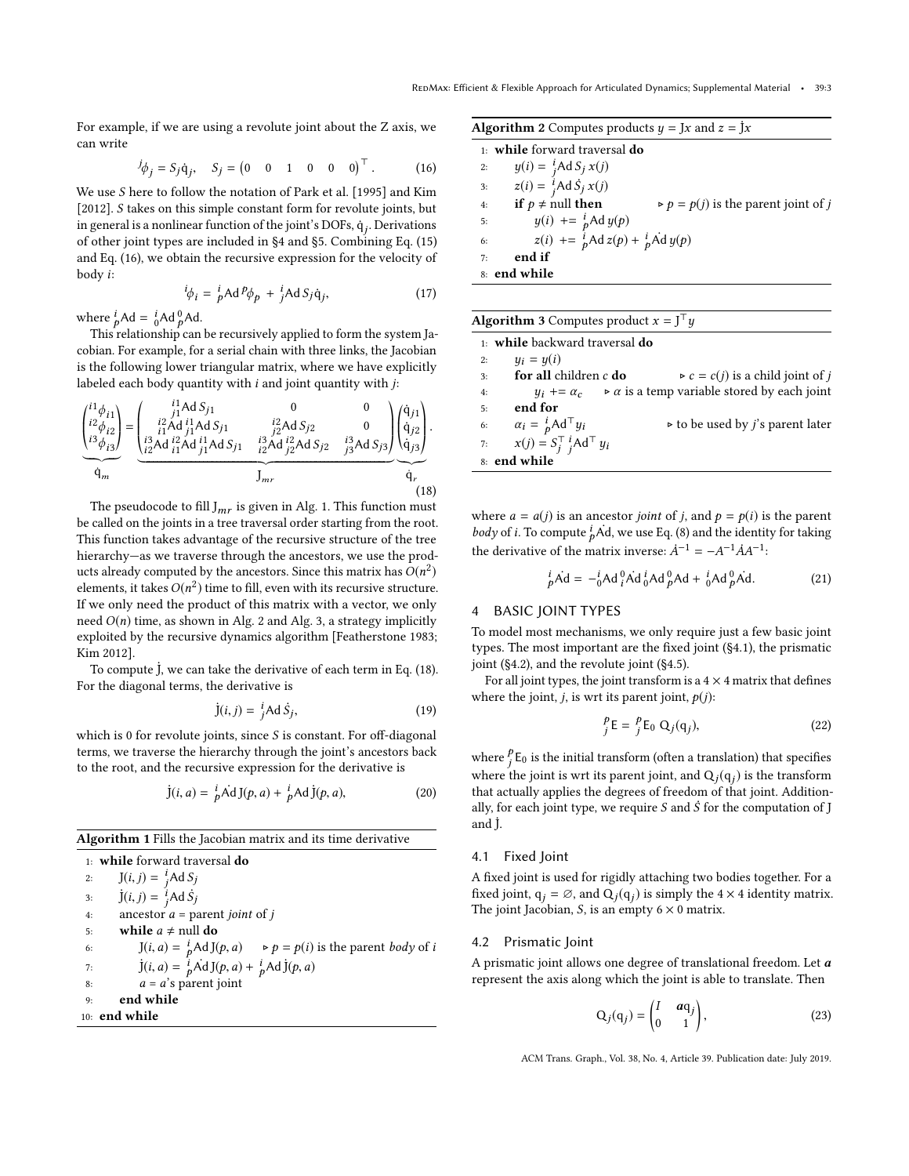For example, if we are using a revolute joint about the Z axis, we can write

<span id="page-2-1"></span>
$$
{}^{j}\phi_{j} = S_{j}\dot{q}_{j}, \quad S_{j} = \begin{pmatrix} 0 & 0 & 1 & 0 & 0 & 0 \end{pmatrix}^{\top}.
$$
 (16)

We use S here to follow the notation of [Park et al.](#page-7-3) [\[1995\]](#page-7-3) and [Kim](#page-6-1) [\[2012\]](#page-6-1). S takes on this simple constant form for revolute joints, but in general is a nonlinear function of the joint's DOFs,  $\dot{\mathsf{q}}_j.$  Derivations of other joint types are included in [§4](#page-2-0) and [§5.](#page-4-0) Combining [Eq. \(15\)](#page-1-6) and [Eq. \(16\),](#page-2-1) we obtain the recursive expression for the velocity of body i:

$$
{}^{i}\phi_{i} = {}^{i}_{p}\text{Ad}^{p}\phi_{p} + {}^{i}_{j}\text{Ad}S_{j}\dot{\mathbf{q}}_{j}, \qquad (17)
$$

where  ${}_{p}^{i}$ Ad =  ${}_{0}^{i}$ Ad  ${}_{p}^{0}$ Ad.

This relationship can be recursively applied to form the system Jacobian. For example, for a serial chain with three links, the Jacobian is the following lower triangular matrix, where we have explicitly labeled each body quantity with  $i$  and joint quantity with  $j$ :

<span id="page-2-5"></span>
$$
\underbrace{\begin{pmatrix} i1 \phi_{i1} \\ i2 \phi_{i2} \\ i3 \phi_{i3} \end{pmatrix}}_{\dot{q}_m} = \underbrace{\begin{pmatrix} i1 \text{Ad } S_{j1} & 0 & 0 \\ i2 \text{Ad } i1 \text{Ad } S_{j1} & i2 \text{Ad } S_{j2} & 0 \\ i1 \text{Ad } i1 \text{Ad } j1 \text{Ad } S_{j1} & i2 \text{Ad } S_{j2} & 0 \\ \frac{i3 \text{Ad } i2 \text{Ad } i1 \text{Ad } j1 \text{Ad } S_{j1} & i2 \text{Ad } j2 \text{Ad } S_{j2} & i3 \text{Ad } S_{j3} \end{pmatrix}}_{J_{mr}} \underbrace{\begin{pmatrix} \dot{q}_{j1} \\ \dot{q}_{j2} \\ \dot{q}_{j2} \end{pmatrix}}_{\dot{q}_r}.
$$
\n(18)

The pseudocode to fill  ${\rm J}_{mr}$  is given in [Alg. 1.](#page-2-2) This function must be called on the joints in a tree traversal order starting from the root. This function takes advantage of the recursive structure of the tree hierarchy—as we traverse through the ancestors, we use the products already computed by the ancestors. Since this matrix has  $O(n^2)$ <br>elements, it takes  $O(n^2)$  time to fill, even with its requiring structure elements, it takes  $O(n^2)$  time to fill, even with its recursive structure.<br>If we only need the product of this matrix with a vector, we only If we only need the product of this matrix with a vector, we only need  $O(n)$  time, as shown in [Alg. 2](#page-2-3) and [Alg. 3,](#page-2-4) a strategy implicitly exploited by the recursive dynamics algorithm [\[Featherstone 1983;](#page-6-3) [Kim 2012\]](#page-6-1).

To compute  $\dot{J}$ , we can take the derivative of each term in [Eq. \(18\).](#page-2-5) For the diagonal terms, the derivative is

$$
\dot{\mathbf{J}}(i,j) = \dot{j} \mathbf{A} \, \dot{\mathbf{S}}_j,\tag{19}
$$

which is 0 for revolute joints, since  $S$  is constant. For off-diagonal terms, we traverse the hierarchy through the joint's ancestors back to the root, and the recursive expression for the derivative is

$$
\dot{\mathbf{J}}(i,a) = \frac{i}{p} \dot{\mathbf{A}} \mathbf{d} \mathbf{J}(p,a) + \frac{i}{p} \mathbf{A} \mathbf{d} \dot{\mathbf{J}}(p,a), \tag{20}
$$

<span id="page-2-2"></span>Algorithm 1 Fills the Jacobian matrix and its time derivative

1: while forward traversal do 2:  $J(i, j) = \int_{i}^{i} Ad S_j$ 3:  $\dot{J}(i, j) = \frac{i}{j} \text{Ad}\,\dot{S}_j$ 4: ancestor  $a =$  parent *joint* of *j*<br>5: **while**  $a \neq$  null **do** 5: while  $a \neq \text{null}$  do<br>6:  $[(i, a) = \frac{i}{b} \text{Ad}](i)$ 6:  $J(i, a) = \frac{i}{p} Ad J(p, a) \rightarrow p = p(i)$  is the parent *body* of *i* 7:  $\dot{J}(i, a) = \frac{\hat{i}}{p} \dot{A} d J(p, a) + \frac{\hat{i}}{p} A d \dot{J}(p, a)$ 8:  $a = a's$  parent joint<br>9: **end while** end while 10: end while

<span id="page-2-3"></span>**Algorithm 2** Computes products  $y = Jx$  and  $z = Jx$ 

1: while forward traversal do 2:  $y(i) = \int_{i}^{i} A dS_{j} x(j)$ 3:  $z(i) = \int_{i}^{i} \text{Ad}\,\dot{S}_{j} x(j)$ 4: if  $p \neq \text{null}$  then  $\rho = p(j)$  is the parent joint of j 5:  $y(i) := \frac{i}{p} \text{Ad } y(p)$ 6:  $z(i)$  +=  $\hat{i}_p$ Ad  $z(p)$  +  $\hat{i}_p$ Ad  $y(p)$ 7: end if 8: end while

<span id="page-2-4"></span>

| <b>Algorithm 3</b> Computes product $x = J^T u$ |                                              |  |                                                                                         |
|-------------------------------------------------|----------------------------------------------|--|-----------------------------------------------------------------------------------------|
|                                                 | 1: <b>while</b> backward traversal <b>do</b> |  |                                                                                         |
| 2:                                              | $y_i = y(i)$                                 |  |                                                                                         |
| 3:                                              | for all children $c$ do                      |  | $\triangleright$ c = c( <i>i</i> ) is a child joint of <i>i</i>                         |
| 4:                                              |                                              |  | $y_i \rightarrow \alpha_c$ $\rightarrow \alpha$ is a temp variable stored by each joint |
| 5:                                              | end for                                      |  |                                                                                         |
| 6:                                              | $\alpha_i = \frac{i}{p} \text{Ad}^\top y_i$  |  | $\triangleright$ to be used by <i>j</i> 's parent later                                 |
| 7:                                              | $x(j) = S_i^{\top} i_i A d^{\top} y_i$       |  |                                                                                         |
|                                                 | 8: end while                                 |  |                                                                                         |

where  $a = a(j)$  is an ancestor *joint* of *j*, and  $p = p(i)$  is the parent *body* of *i*. To compute  $\frac{1}{p}$  Ad, we use [Eq. \(8\)](#page-1-1) and the identity for taking the derivative of the matrix inverse:  $\dot{A}^{-1} = -A^{-1} \dot{A} A^{-1}$ :

$$
{}_{p}^{i}Ad = -{}_{0}^{i}Ad\, {}_{i}^{0}Ad\, {}_{0}^{i}Ad\, {}_{p}^{0}Ad + \, {}_{0}^{i}Ad\, {}_{p}^{0}Ad. \qquad (21)
$$

## <span id="page-2-0"></span>4 BASIC JOINT TYPES

To model most mechanisms, we only require just a few basic joint types. The most important are the fixed joint [\(§4.1\)](#page-2-6), the prismatic joint [\(§4.2\)](#page-2-7), and the revolute joint [\(§4.5\)](#page-3-0).

For all joint types, the joint transform is a  $4 \times 4$  matrix that defines where the joint, *j*, is wrt its parent joint,  $p(j)$ :

$$
{}_{j}^{p}E = {}_{j}^{p}E_{0} Q_{j}(q_{j}), \qquad (22)
$$

where  $_{j}^{p}$  E<sub>0</sub> is the initial transform (often a translation) that specifies where the joint is wrt its parent joint, and  $\mathbf{Q}_j(\mathbf{q}_j)$  is the transform that actually applies the degrees of freedom of that joint. Additionally, for each joint type, we require S and  $\dot{S}$  for the computation of J and  $\dot{J}$ .

#### <span id="page-2-6"></span>4.1 Fixed Joint

A fixed joint is used for rigidly attaching two bodies together. For a fixed joint,  $q_j = \emptyset$ , and  $Q_j(q_j)$  is simply the 4 × 4 identity matrix. The joint Jacobian,  $S$ , is an empty  $6 \times 0$  matrix.

#### <span id="page-2-7"></span>4.2 Prismatic Joint

A prismatic joint allows one degree of translational freedom. Let  $a$ represent the axis along which the joint is able to translate. Then

$$
Q_j(q_j) = \begin{pmatrix} I & aq_j \\ 0 & 1 \end{pmatrix},
$$
 (23)

ACM Trans. Graph., Vol. 38, No. 4, Article 39. Publication date: July 2019.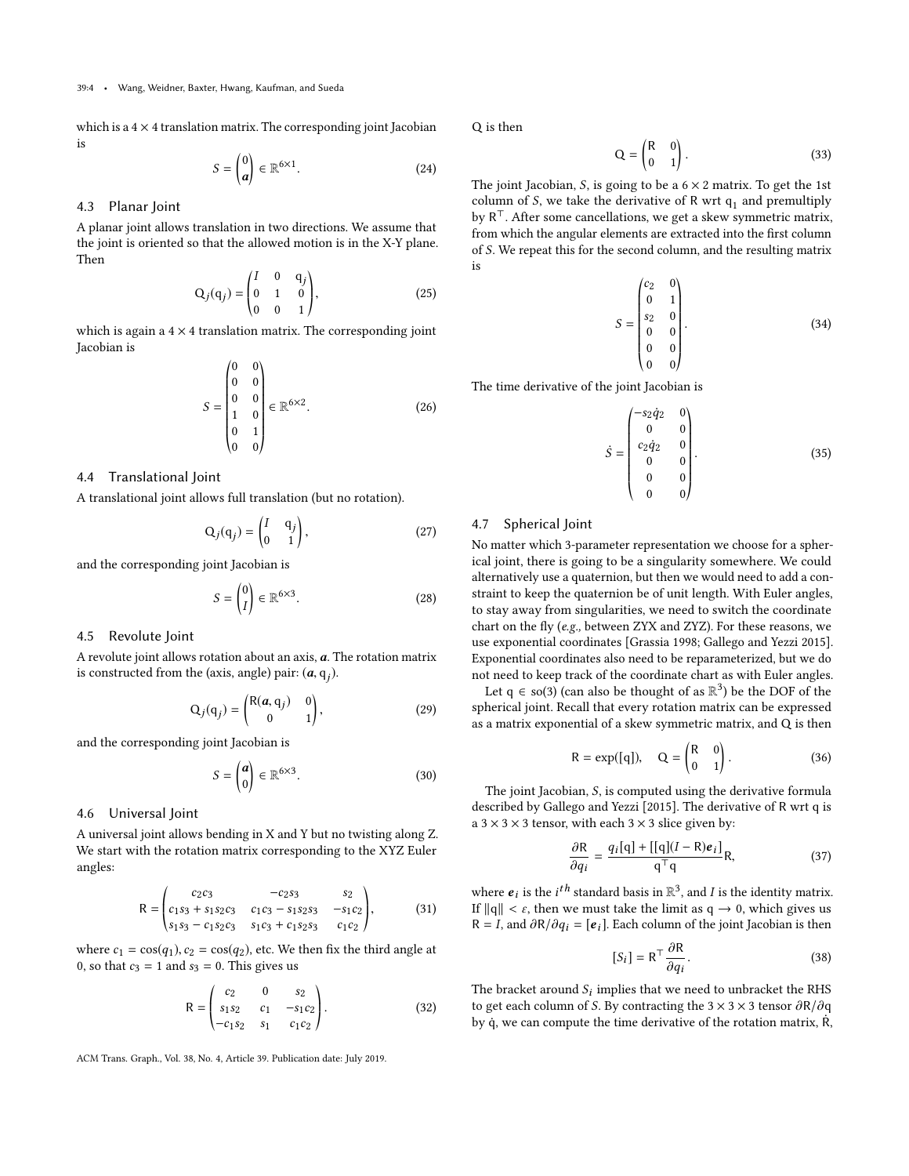which is a  $4 \times 4$  translation matrix. The corresponding joint Jacobian is

$$
S = \begin{pmatrix} 0 \\ a \end{pmatrix} \in \mathbb{R}^{6 \times 1}.
$$
 (24)

#### 4.3 Planar Joint

A planar joint allows translation in two directions. We assume that the joint is oriented so that the allowed motion is in the X-Y plane. Then

$$
Q_j(q_j) = \begin{pmatrix} I & 0 & q_j \\ 0 & 1 & 0 \\ 0 & 0 & 1 \end{pmatrix},
$$
 (25)

which is again a 4 × 4 translation matrix. The corresponding joint Jacobian is

$$
S = \begin{pmatrix} 0 & 0 \\ 0 & 0 \\ 0 & 0 \\ 1 & 0 \\ 0 & 1 \\ 0 & 0 \end{pmatrix} \in \mathbb{R}^{6 \times 2}.
$$
 (26)

#### 4.4 Translational Joint

A translational joint allows full translation (but no rotation).

$$
Q_j(q_j) = \begin{pmatrix} I & q_j \\ 0 & 1 \end{pmatrix}, \tag{27}
$$

and the corresponding joint Jacobian is

$$
S = \begin{pmatrix} 0 \\ I \end{pmatrix} \in \mathbb{R}^{6 \times 3}.
$$
 (28)

## <span id="page-3-0"></span>4.5 Revolute Joint

A revolute joint allows rotation about an axis,  $a$ . The rotation matrix is constructed from the (axis, angle) pair:  $(a, q_j)$ .

$$
Q_j(q_j) = \begin{pmatrix} R(a, q_j) & 0 \\ 0 & 1 \end{pmatrix},
$$
 (29)

and the corresponding joint Jacobian is

$$
S = \begin{pmatrix} a \\ 0 \end{pmatrix} \in \mathbb{R}^{6 \times 3}.
$$
 (30)

#### 4.6 Universal Joint

A universal joint allows bending in X and Y but no twisting along Z. We start with the rotation matrix corresponding to the XYZ Euler angles:

$$
R = \begin{pmatrix} c_2c_3 & -c_2s_3 & s_2 \\ c_1s_3 + s_1s_2c_3 & c_1c_3 - s_1s_2s_3 & -s_1c_2 \\ s_1s_3 - c_1s_2c_3 & s_1c_3 + c_1s_2s_3 & c_1c_2 \end{pmatrix},
$$
(31)

where  $c_1 = \cos(q_1), c_2 = \cos(q_2)$ , etc. We then fix the third angle at 0. so that  $c_2 = 1$  and  $s_2 = 0$ . This gives us 0, so that  $c_3 = 1$  and  $s_3 = 0$ . This gives us

$$
R = \begin{pmatrix} c_2 & 0 & s_2 \\ s_1 s_2 & c_1 & -s_1 c_2 \\ -c_1 s_2 & s_1 & c_1 c_2 \end{pmatrix}.
$$
 (32)

ACM Trans. Graph., Vol. 38, No. 4, Article 39. Publication date: July 2019.

Q is then

$$
Q = \begin{pmatrix} R & 0 \\ 0 & 1 \end{pmatrix}.
$$
 (33)

The joint Jacobian, S, is going to be a  $6 \times 2$  matrix. To get the 1st column of S, we take the derivative of R wrt  $q_1$  and premultiply<br>by  $P^{\top}$  After some cancellations, we get a skew symmetric matrix by R<sup>⊤</sup>. After some cancellations, we get a skew symmetric matrix, from which the angular elements are extracted into the first column of S. We repeat this for the second column, and the resulting matrix is

$$
S = \begin{pmatrix} c_2 & 0 \\ 0 & 1 \\ s_2 & 0 \\ 0 & 0 \\ 0 & 0 \\ 0 & 0 \end{pmatrix}.
$$
 (34)

The time derivative of the joint Jacobian is

$$
\dot{S} = \begin{pmatrix} -s_2 \dot{q}_2 & 0 \\ 0 & 0 \\ c_2 \dot{q}_2 & 0 \\ 0 & 0 \\ 0 & 0 \\ 0 & 0 \end{pmatrix} . \tag{35}
$$

## 4.7 Spherical Joint

No matter which 3-parameter representation we choose for a spherical joint, there is going to be a singularity somewhere. We could alternatively use a quaternion, but then we would need to add a constraint to keep the quaternion be of unit length. With Euler angles, to stay away from singularities, we need to switch the coordinate chart on the fly (e.g., between ZYX and ZYZ). For these reasons, we use exponential coordinates [\[Grassia 1998;](#page-6-4) [Gallego and Yezzi 2015\]](#page-6-5). Exponential coordinates also need to be reparameterized, but we do not need to keep track of the coordinate chart as with Euler angles.

Let  $q \in so(3)$  (can also be thought of as  $\mathbb{R}^3$ ) be the DOF of the spherical joint. Recall that every rotation matrix can be expressed as a matrix exponential of a skew symmetric matrix, and Q is then

$$
R = \exp([q]), \quad Q = \begin{pmatrix} R & 0 \\ 0 & 1 \end{pmatrix}.
$$
 (36)

The joint Jacobian, S, is computed using the derivative formula described by [Gallego and Yezzi](#page-6-5) [\[2015\]](#page-6-5). The derivative of R wrt q is a  $3 \times 3 \times 3$  tensor, with each  $3 \times 3$  slice given by:

$$
\frac{\partial \mathbf{R}}{\partial q_i} = \frac{q_i[\mathbf{q}] + [[\mathbf{q}](I - \mathbf{R})\mathbf{e}_i]}{\mathbf{q}^\top \mathbf{q}} \mathbf{R},\tag{37}
$$

where  $e_i$  is the *i*<sup>th</sup> standard basis in  $\mathbb{R}^3$ , and *I* is the identity matrix. If  $||q|| < \varepsilon$ , then we must take the limit as  $q \to 0$ , which gives us R = I, and  $\partial R/\partial q_i = [\mathbf{e}_i]$ . Each column of the joint Jacobian is then

<span id="page-3-1"></span>
$$
[S_i] = \mathsf{R}^\top \frac{\partial \mathsf{R}}{\partial q_i}.
$$
 (38)

The bracket around  $S_i$  implies that we need to unbracket the RHS<br>to get each column of S. By contracting the  $3 \times 3 \times 3$  tensor  $\partial P/\partial q$ to get each column of S. By contracting the 3  $\times$  3  $\times$  3 tensor  $\partial R/\partial q$ by  $\dot{q}$ , we can compute the time derivative of the rotation matrix,  $\dot{R}$ ,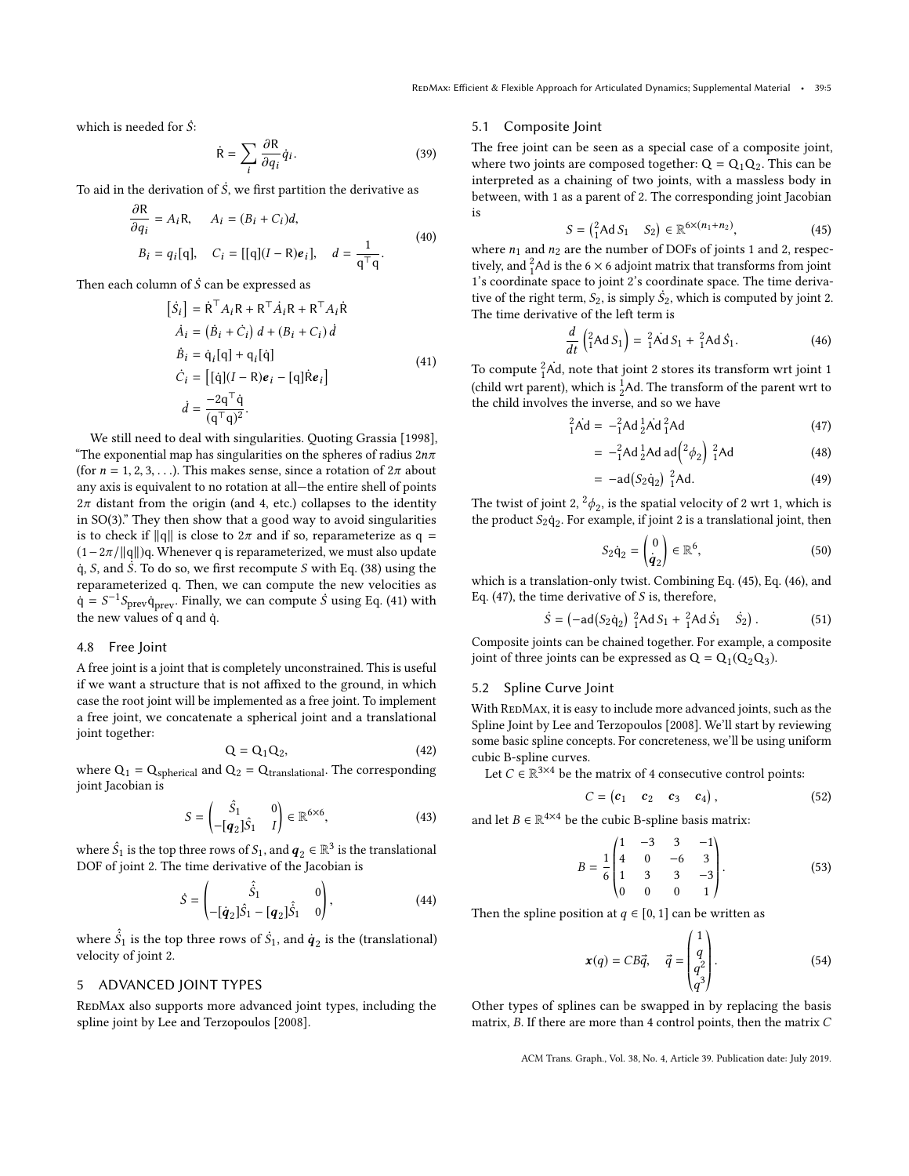which is needed for  $\dot{S}$ :

an

$$
\dot{\mathsf{R}} = \sum_{i} \frac{\partial \mathsf{R}}{\partial q_i} \dot{q}_i.
$$
 (39)

To aid in the derivation of  $\dot{S}$ , we first partition the derivative as

$$
\frac{\partial \mathbf{K}}{\partial q_i} = A_i \mathbf{R}, \quad A_i = (B_i + C_i)d,
$$
  
\n
$$
B_i = q_i[q], \quad C_i = [[q](I - \mathbf{R})\mathbf{e}_i], \quad d = \frac{1}{q^\top q}.
$$
\n(40)

<span id="page-4-1"></span>Then each column of  $\dot{S}$  can be expressed as

$$
[\dot{S}_i] = \dot{R}^\top A_i R + R^\top \dot{A}_i R + R^\top A_i \dot{R}
$$
  
\n
$$
\dot{A}_i = (\dot{B}_i + \dot{C}_i) d + (B_i + C_i) d
$$
  
\n
$$
\dot{B}_i = \dot{q}_i [q] + q_i [\dot{q}]
$$
  
\n
$$
\dot{C}_i = [[\dot{q}](I - R)e_i - [q] \dot{R}e_i]
$$
  
\n
$$
\dot{d} = \frac{-2q^\top \dot{q}}{(q^\top q)^2}.
$$
\n(41)

We still need to deal with singularities. Quoting [Grassia](#page-6-4) [\[1998\]](#page-6-4), "The exponential map has singularities on the spheres of radius  $2n\pi$ (for  $n = 1, 2, 3, \ldots$ ). This makes sense, since a rotation of  $2\pi$  about any axis is equivalent to no rotation at all—the entire shell of points  $2\pi$  distant from the origin (and 4, etc.) collapses to the identity in SO(3)." They then show that a good way to avoid singularities is to check if  $||q||$  is close to  $2\pi$  and if so, reparameterize as q =  $(1-2\pi/\|q\|)$ q. Whenever q is reparameterized, we must also update  $\dot{q}$ , S, and S. To do so, we first recompute S with [Eq. \(38\)](#page-3-1) using the reparameterized q. Then, we can compute the new velocities as  $\dot{q} = S^{-1} S_{\text{prev}} \dot{q}_{\text{prev}}$ . Finally, we can compute  $\dot{S}$  using [Eq. \(41\)](#page-4-1) with the new values of q and q.

#### 4.8 Free Joint

A free joint is a joint that is completely unconstrained. This is useful if we want a structure that is not affixed to the ground, in which case the root joint will be implemented as a free joint. To implement a free joint, we concatenate a spherical joint and a translational joint together:

$$
Q = Q_1 Q_2, \tag{42}
$$

 $Q = Q_1 Q_2,$  (42)<br>where  $Q_1 = Q_{\text{spherical}}$  and  $Q_2 = Q_{\text{translationnal}}$ . The corresponding joint Jacobian is

$$
S = \begin{pmatrix} \hat{S}_1 & 0 \\ -[q_2]\hat{S}_1 & I \end{pmatrix} \in \mathbb{R}^{6 \times 6},
$$
 (43)

where  $\hat{S}_1$  is the top three rows of  $S_1$ , and  $q_2 \in \mathbb{R}^3$  is the translational<br>DOE of joint 2. The time derivative of the Jacobian is DOF of joint 2. The time derivative of the Jacobian is

$$
\dot{S} = \begin{pmatrix} \hat{S}_1 & 0 \\ -[\dot{q}_2]\hat{S}_1 - [q_2]\hat{S}_1 & 0 \end{pmatrix},
$$
(44)

where  $\hat{\hat{S}}_1$  is the top three rows of  $\hat{S}_1$ , and  $\hat{q}_2$  is the (translational)<br>velocity of joint 2 velocity of joint 2.

## <span id="page-4-0"></span>5 ADVANCED JOINT TYPES

REDMAX also supports more advanced joint types, including the spline joint by [Lee and Terzopoulos](#page-6-2) [\[2008\]](#page-6-2).

#### 5.1 Composite Joint

The free joint can be seen as a special case of a composite joint, where two joints are composed together:  $Q = Q_1 Q_2$ . This can be interpreted as a chaining of two joints, with a massless body in between, with 1 as a parent of 2. The corresponding joint Jacobian is

<span id="page-4-2"></span>
$$
S = \begin{pmatrix} 2 \\ 1 \end{pmatrix} \text{Ad } S_1 \quad S_2 \in \mathbb{R}^{6 \times (n_1 + n_2)}, \tag{45}
$$

where  $n_1$  and  $n_2$  are the number of DOFs of joints 1 and 2, respectively and <sup>2</sup> Ad is the 6  $\times$  6 adjoint matrix that transforms from joint tively, and  ${}^{2}_{1}$ Ad is the 6  $\times$  6 adjoint matrix that transforms from joint 1's coordinate space to joint 2's coordinate space. The time derivative of the right term,  $S_2$ , is simply  $\dot{S}_2$ , which is computed by joint 2.<br>The time derivative of the left term is The time derivative of the left term is

<span id="page-4-3"></span>
$$
\frac{d}{dt}\left({}^{2}_{1}\text{Ad} S_{1}\right) = {}^{2}_{1}\text{Ad} S_{1} + {}^{2}_{1}\text{Ad} \dot{S}_{1}.
$$
 (46)

To compute  ${}^{2}_{1}\text{Ad}$ , note that joint 2 stores its transform wrt joint 1 (child wrt parent), which is  ${}^{1}_{2}$ Ad. The transform of the parent wrt to the child involves the inverse, and so we have

$$
{}_{1}^{2}\dot{\mathbf{A}}\mathbf{d} = -{}_{1}^{2}\mathbf{A}\mathbf{d} \, {}_{2}^{1}\dot{\mathbf{A}}\mathbf{d} \, {}_{1}^{2}\mathbf{A}\mathbf{d} \tag{47}
$$

<span id="page-4-4"></span>
$$
= -\frac{2}{1}Ad \frac{1}{2}Ad ad \left( \frac{2}{\phi_2} \right) \frac{2}{1}Ad \tag{48}
$$

$$
= -ad(S_2\dot{q}_2)^2 Ad. \tag{49}
$$

The twist of joint 2,  $^{2}\phi_{2}$ , is the spatial velocity of 2 wrt 1, which is the product S- $\dot{\phi}$ . For example if joint 2 is a translational joint then the product  $S_2 \dot{q}_2$ . For example, if joint 2 is a translational joint, then

$$
S_2 \dot{\mathbf{q}}_2 = \begin{pmatrix} 0 \\ \dot{\mathbf{q}}_2 \end{pmatrix} \in \mathbb{R}^6, \tag{50}
$$

which is a translation-only twist. Combining [Eq. \(45\),](#page-4-2) [Eq. \(46\),](#page-4-3) and [Eq. \(47\),](#page-4-4) the time derivative of  $S$  is, therefore,

$$
\dot{S} = \left(-\text{ad}\left(S_2\dot{q}_2\right)\right)^2_1 \text{Ad}\,S_1 + \left(\frac{2}{1}\text{Ad}\,\dot{S}_1\right)\dot{S}_2\right). \tag{51}
$$

Composite joints can be chained together. For example, a composite joint of three joints can be expressed as  $Q = Q_1(Q_2Q_3)$ .

#### 5.2 Spline Curve Joint

With REDMAx, it is easy to include more advanced joints, such as the Spline Joint by [Lee and Terzopoulos](#page-6-2) [\[2008\]](#page-6-2). We'll start by reviewing some basic spline concepts. For concreteness, we'll be using uniform cubic B-spline curves.

Let  $C \in \mathbb{R}^{3 \times 4}$  be the matrix of 4 consecutive control points:

$$
C = \begin{pmatrix} c_1 & c_2 & c_3 & c_4 \end{pmatrix},\tag{52}
$$

and let  $B \in \mathbb{R}^{4 \times 4}$  be the cubic B-spline basis matrix:

<span id="page-4-6"></span>
$$
B = \frac{1}{6} \begin{pmatrix} 1 & -3 & 3 & -1 \\ 4 & 0 & -6 & 3 \\ 1 & 3 & 3 & -3 \\ 0 & 0 & 0 & 1 \end{pmatrix} . \tag{53}
$$

Then the spline position at  $q \in [0, 1]$  can be written as

<span id="page-4-5"></span>
$$
\mathbf{x}(q) = CB\vec{q}, \quad \vec{q} = \begin{pmatrix} 1 \\ q \\ q^2 \\ q^3 \end{pmatrix}.
$$
 (54)

Other types of splines can be swapped in by replacing the basis matrix, B. If there are more than 4 control points, then the matrix C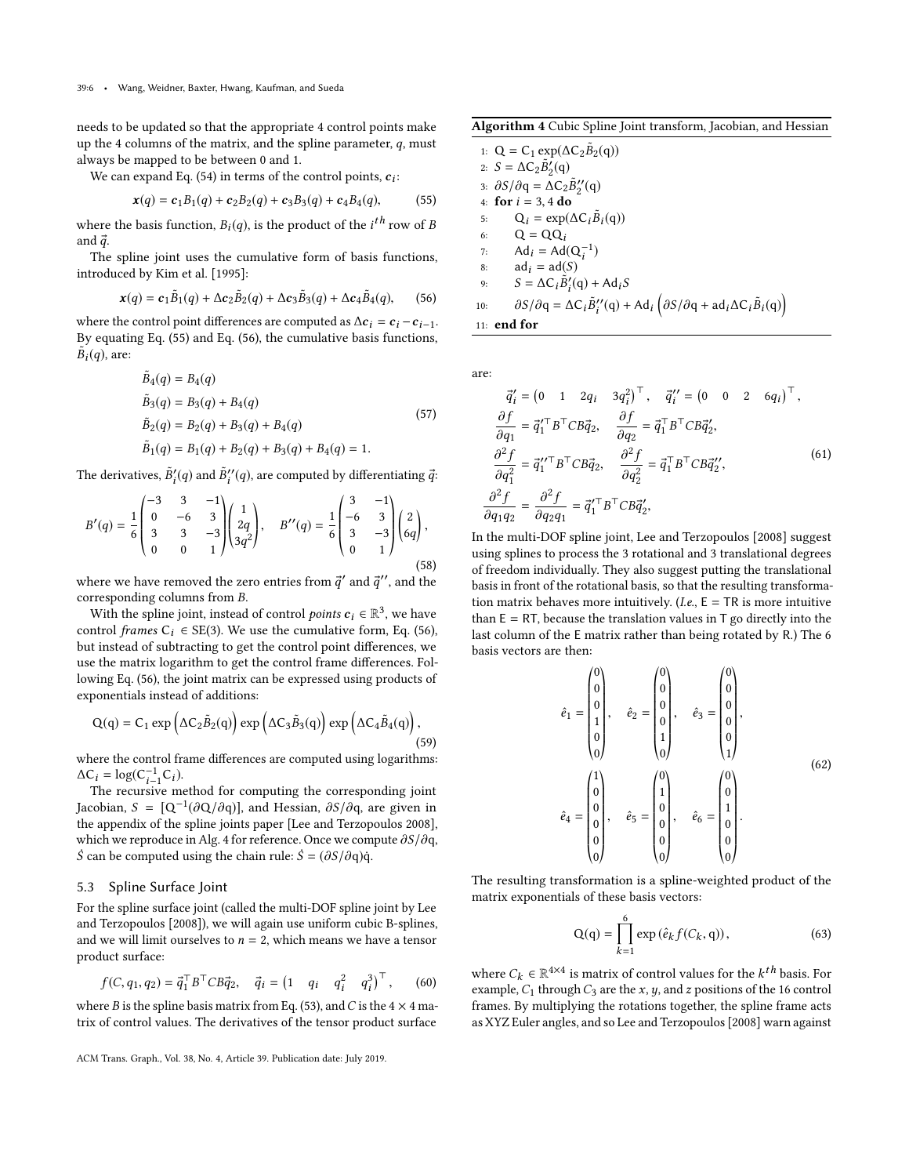needs to be updated so that the appropriate 4 control points make up the 4 columns of the matrix, and the spline parameter,  $q$ , must always be mapped to be between 0 and 1.

We can expand [Eq. \(54\)](#page-4-5) in terms of the control points,  $c_i$ :

<span id="page-5-0"></span>
$$
\mathbf{x}(q) = \mathbf{c}_1 B_1(q) + \mathbf{c}_2 B_2(q) + \mathbf{c}_3 B_3(q) + \mathbf{c}_4 B_4(q),\tag{55}
$$

where the basis function,  $B_i(q)$ , is the product of the  $i^{th}$  row of B and  $\vec{a}$ and  $\vec{q}$ .

The spline joint uses the cumulative form of basis functions, introduced by [Kim et al.](#page-6-6) [\[1995\]](#page-6-6):

<span id="page-5-1"></span>
$$
\mathbf{x}(q) = \mathbf{c}_1 \tilde{B}_1(q) + \Delta \mathbf{c}_2 \tilde{B}_2(q) + \Delta \mathbf{c}_3 \tilde{B}_3(q) + \Delta \mathbf{c}_4 \tilde{B}_4(q), \qquad (56)
$$

where the control point differences are computed as  $\Delta c_i = c_i - c_{i-1}$ . By equating [Eq. \(55\)](#page-5-0) and [Eq. \(56\),](#page-5-1) the cumulative basis functions,  $\tilde{B}_i(q)$ , are:

$$
\tilde{B}_4(q) = B_4(q) \n\tilde{B}_3(q) = B_3(q) + B_4(q) \n\tilde{B}_2(q) = B_2(q) + B_3(q) + B_4(q) \n\tilde{B}_1(q) = B_1(q) + B_2(q) + B_3(q) + B_4(q) = 1.
$$
\n(57)

The derivatives,  $\tilde{B}'_i(q)$  and  $\tilde{B}''_i(q)$ , are computed by differentiating  $\vec{q}$ :

$$
B'(q) = \frac{1}{6} \begin{pmatrix} -3 & 3 & -1 \\ 0 & -6 & 3 \\ 3 & 3 & -3 \\ 0 & 0 & 1 \end{pmatrix} \begin{pmatrix} 1 \\ 2q \\ 3q^2 \end{pmatrix}, \quad B''(q) = \frac{1}{6} \begin{pmatrix} 3 & -1 \\ -6 & 3 \\ 3 & -3 \\ 0 & 1 \end{pmatrix} \begin{pmatrix} 2 \\ 6q \end{pmatrix},
$$
\n(58)

where we have removed the zero entries from  $\vec{q}'$  and  $\vec{q}''$ , and the corresponding columns from  $R$ corresponding columns from B.

With the spline joint, instead of control *points*  $c_i \in \mathbb{R}^3$ , we have the cumulative form Eq. (56) control frames  $C_i \in SE(3)$ . We use the cumulative form, [Eq. \(56\),](#page-5-1) but instead of subtracting to get the control point differences, we use the matrix logarithm to get the control frame differences. Following [Eq. \(56\),](#page-5-1) the joint matrix can be expressed using products of exponentials instead of additions:

$$
Q(q) = C_1 \exp \left( \Delta C_2 \tilde{B}_2(q) \right) \exp \left( \Delta C_3 \tilde{B}_3(q) \right) \exp \left( \Delta C_4 \tilde{B}_4(q) \right),\tag{59}
$$

where the control frame differences are computed using logarithms:  $\Delta C_i = \log(C_{i-1}^{-1} C_i).$  The recursive means

The recursive method for computing the corresponding joint Jacobian,  $S = [Q^{-1}(\partial Q/\partial q)]$ , and Hessian,  $\partial S/\partial q$ , are given in the appendix of the spline ignts paper II as and Terzopoulos 2008. the appendix of the spline joints paper [\[Lee and Terzopoulos 2008\]](#page-6-2), which we reproduce in [Alg. 4](#page-5-2) for reference. Once we compute ∂S/∂q, S can be computed using the chain rule:  $\dot{S} = (\partial S/\partial q)\dot{q}$ .

#### 5.3 Spline Surface Joint

For the spline surface joint (called the multi-DOF spline joint by [Lee](#page-6-2) [and Terzopoulos](#page-6-2) [\[2008\]](#page-6-2)), we will again use uniform cubic B-splines, and we will limit ourselves to  $n = 2$ , which means we have a tensor product surface:

$$
f(C, q_1, q_2) = \vec{q}_1^\top B^\top C B \vec{q}_2, \quad \vec{q}_i = \begin{pmatrix} 1 & q_i & q_i^2 & q_i^3 \end{pmatrix}^\top, \quad (60)
$$

where B is the spline basis matrix from [Eq. \(53\),](#page-4-6) and C is the  $4 \times 4$  matrix of control values. The derivatives of the tensor product surface

<span id="page-5-2"></span>Algorithm 4 Cubic Spline Joint transform, Jacobian, and Hessian

1: Q = C<sub>1</sub> exp( $\Delta C_2 \tilde{B}_2(q)$ )<br>2. S =  $\Delta C_2 \tilde{B}'(q)$ 2:  $S = \Delta C_2 \tilde{B}'_2(q)$ 3:  $\partial S/\partial q = \overline{\Delta C_2 \tilde{B}_2''(q)}$ 4: **for**  $i = 3, 4$  **do**<br>5:  $Q_i = \exp(i$ 5:  $Q_i = \exp(\Delta C_i \tilde{B}_i(q))$ 6:  $Q = QQ_i$ 7:  $\text{Ad}_i = \text{Ad}(\text{Q}_i^{-1})$ 8:  $ad_i = ad(S)$ <br>9:  $S = AC_i \tilde{B}'$ 9:  $S = \Delta C_i \tilde{B}'_i(q) + A d_i S$ 10:  $\partial S/\partial q = \Delta C_i \tilde{B}_i''(q) + A d_i \left( \partial S/\partial q + ad_i \Delta C_i \tilde{B}_i(q) \right)$ 11: end for

are:

$$
\vec{q}'_i = \begin{pmatrix} 0 & 1 & 2q_i & 3q_i^2 \end{pmatrix}^\top, \quad \vec{q}''_i = \begin{pmatrix} 0 & 0 & 2 & 6q_i \end{pmatrix}^\top,
$$
  
\n
$$
\frac{\partial f}{\partial q_1} = \vec{q}'_1^\top B^\top C B \vec{q}_2, \quad \frac{\partial f}{\partial q_2} = \vec{q}_1^\top B^\top C B \vec{q}'_2,
$$
  
\n
$$
\frac{\partial^2 f}{\partial q_1^2} = \vec{q}''_1^\top B^\top C B \vec{q}_2, \quad \frac{\partial^2 f}{\partial q_2^2} = \vec{q}_1^\top B^\top C B \vec{q}''_2,
$$
  
\n
$$
\frac{\partial^2 f}{\partial q_1 q_2} = \frac{\partial^2 f}{\partial q_2 q_1} = \vec{q}'_1^\top B^\top C B \vec{q}'_2,
$$
\n(61)

In the multi-DOF spline joint, [Lee and Terzopoulos](#page-6-2) [\[2008\]](#page-6-2) suggest using splines to process the 3 rotational and 3 translational degrees of freedom individually. They also suggest putting the translational basis in front of the rotational basis, so that the resulting transformation matrix behaves more intuitively. (*I.e.*,  $E = TR$  is more intuitive than  $E = RT$ , because the translation values in T go directly into the last column of the E matrix rather than being rotated by R.) The 6 basis vectors are then:

 $0.85$ 

$$
\hat{e}_1 = \begin{pmatrix} 0 \\ 0 \\ 0 \\ 1 \\ 0 \end{pmatrix}, \quad \hat{e}_2 = \begin{pmatrix} 0 \\ 0 \\ 0 \\ 0 \\ 1 \\ 0 \end{pmatrix}, \quad \hat{e}_3 = \begin{pmatrix} 0 \\ 0 \\ 0 \\ 0 \\ 1 \end{pmatrix},
$$

$$
\hat{e}_4 = \begin{pmatrix} 1 \\ 0 \\ 0 \\ 0 \\ 0 \\ 0 \end{pmatrix}, \quad \hat{e}_5 = \begin{pmatrix} 0 \\ 1 \\ 0 \\ 0 \\ 0 \\ 0 \end{pmatrix}, \quad \hat{e}_6 = \begin{pmatrix} 0 \\ 0 \\ 1 \\ 0 \\ 0 \\ 0 \end{pmatrix}.
$$

$$
(62)
$$

 $0.55$ 

The resulting transformation is a spline-weighted product of the matrix exponentials of these basis vectors:

$$
Q(q) = \prod_{k=1}^{6} \exp(\hat{e}_k f(C_k, q)),
$$
 (63)

where  $C_k \in \mathbb{R}^{4\times4}$  is matrix of control values for the  $k^{th}$  basis. For example C, through C are the x u and z positions of the 16 control example,  $C_1$  through  $C_3$  are the x, y, and z positions of the 16 control frames. By multiplying the rotations together, the spline frame acts as XYZ Euler angles, and so [Lee and Terzopoulos](#page-6-2) [\[2008\]](#page-6-2) warn against

ACM Trans. Graph., Vol. 38, No. 4, Article 39. Publication date: July 2019.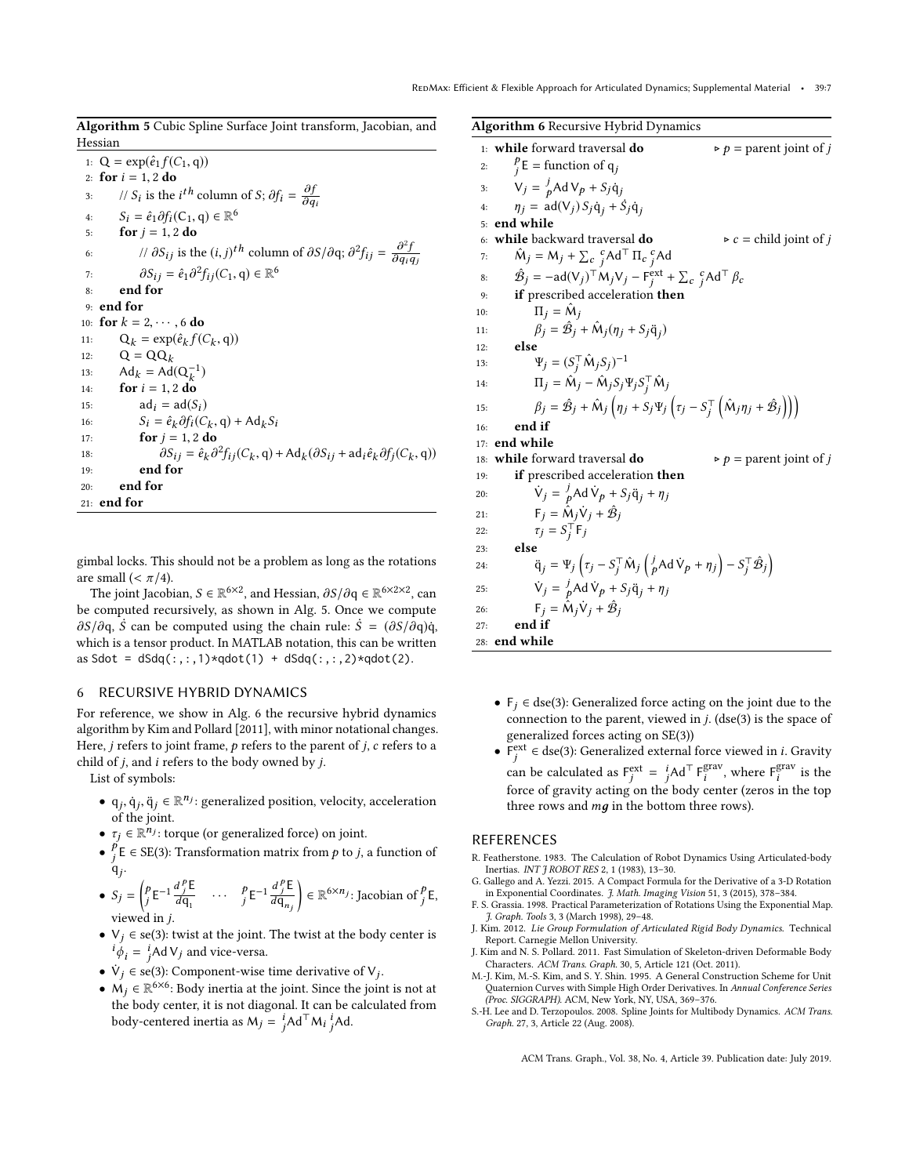<span id="page-6-7"></span>Algorithm 5 Cubic Spline Surface Joint transform, Jacobian, and Hessian

1:  $Q = \exp(\hat{e}_1 f(C_1, q))$ 2: **for**  $i = 1, 2$  **do**<br>3: //  $S_i$  is the 3: // S<sub>i</sub> is the i<sup>th</sup> column of S;  $\partial f_i = \frac{\partial f}{\partial q}$ ∂qi 4:  $S_i = \hat{e}_1 \partial f_i(C_1, q) \in \mathbb{R}^6$ 5: **for**  $j = 1, 2$  **do**<br>6: //  $\partial S_{ij}$  is the 6: //  $\partial S_{ij}$  is the  $(i, j)^{th}$  column of  $\partial S/\partial q$ ;  $\partial^2 f_{ij} = \frac{\partial^2 f}{\partial q_i Q}$  $\partial q_i q_j$ 7:  $\partial S_{ij} = \hat{e}_1 \partial^2 f_{ij}(C_1, \mathbf{q}) \in \mathbb{R}^6$ <br>end for 8: end for 9: end for 10: **for**  $k = 2, \dots, 6$  **do**<br>11:  $Q_k = \exp(\hat{e}_k f))$ 11:  $Q_k = \exp(\hat{e}_k f(C_k, q))$ <br>
12:  $Q = QQ$ 12:  $Q = QQ_k$ 13:  $Ad_k = Ad(Q_k^{-1})$ 14: **for**  $i = 1, 2$  **do**<br>15:  $ad_i = ad(S)$ 15:  $ad_i = ad(S_i)$ <br>
16:  $S_i = \hat{e}_k \partial f_i(C_i)$ 16:  $S_i = \hat{e}_k \partial f_i(C_k, \mathbf{q}) + \mathbf{A} \mathbf{d}_k S_i$ <br>  $\mathbf{for} \quad i = 1, 2, \mathbf{d} \mathbf{q}$ 17: **for**  $j = 1, 2$  **do**<br>18:  $\partial S_{ij} = \hat{e}_k \partial^i$ 18:  $\partial S_{ij} = \hat{e}_k \partial^2 f_{ij}(C_k, \mathbf{q}) + \text{Ad}_k(\partial S_{ij} + \text{ad}_i \hat{e}_k \partial f_j(C_k, \mathbf{q}))$ 19: end for 20: end for 21: end for

gimbal locks. This should not be a problem as long as the rotations are small ( $< \pi/4$ ).

The joint Jacobian,  $S \in \mathbb{R}^{6 \times 2}$ , and Hessian,  $\partial S/\partial q \in \mathbb{R}^{6 \times 2 \times 2}$ , can computed recursively as shown in Alg 5. Once we compute be computed recursively, as shown in [Alg. 5.](#page-6-7) Once we compute  $\partial S/\partial q$ , S can be computed using the chain rule:  $\dot{S} = (\partial S/\partial q)\dot{q}$ , which is a tensor product. In MATLAB notation, this can be written as Sdot =  $dSdq(:,:,1)*qdot(1) + dSdq(:,:,2)*qdot(2)$ .

#### 6 RECURSIVE HYBRID DYNAMICS

For reference, we show in [Alg. 6](#page-6-8) the recursive hybrid dynamics algorithm by [Kim and Pollard](#page-6-0) [\[2011\]](#page-6-0), with minor notational changes. Here,  $j$  refers to joint frame,  $p$  refers to the parent of  $j$ ,  $c$  refers to a child of j, and i refers to the body owned by j.

List of symbols:

- $q_j, \dot{q}_j, \ddot{q}_j \in \mathbb{R}^{n_j}$ : generalized position, velocity, acceleration of the joint of the joint.
- $\tau_j \in \mathbb{R}^{n_j}$ : torque (or generalized force) on joint.
- $\bullet$   $\frac{p}{q}$  $\frac{p}{f}$ E ∈ SE(3): Transformation matrix from  $p$  to  $j$ , a function of  $\mathfrak{q}_j$ .

• 
$$
S_j = \begin{pmatrix} p_E - 1 \frac{d_j^p E}{d q_1} & \cdots & p_E - 1 \frac{d_j^p E}{d q_{n_j}} \end{pmatrix} \in \mathbb{R}^{6 \times n_j}
$$
: Jacobian of  $f^p$ , viewed in *j*.

- viewed in *j*.<br>●  $V_j \in \text{se}(3)$ : twist at the joint. The twist at the body center is  $i\phi_i = i\text{Ad }V_j$  and vice-versa.
- $\dot{V}_j \in \text{se}(3)$ : Component-wise time derivative of  $V_j$ .
- $\dot{M}_j \in \mathbb{R}^{6 \times 6}$ : Body inertia at the joint. Since the joint is not at the body center, it is not diagonal. It can be calculated from body-centered inertia as  $M_j = \int_{j}^{i} A d^{\top} M_i \int_{j}^{i} A d$ .

<span id="page-6-8"></span>Algorithm 6 Recursive Hybrid Dynamics 1: **while** forward traversal **do**  $\rho =$  parent joint of *j*  $\overline{2}$ : p  $j<sup>p</sup>$ E = function of q<sub>j</sub> 3:  $V_j = \frac{j}{p} Ad V_p + S_j \dot{q}_j$ 4:  $\eta_j = \text{ad}(V_j) S_j \dot{q}_j + \dot{S}_j \dot{q}_j$ 5: end while 6: **while** backward traversal **do**  $\triangleright c = \text{child joint of } j$ <br>7:  $\hat{M}_i = M_i + \sum_c {}^c A d^T \Pi_c {}^c A d$ 7:  $\hat{M}_j = M_j + \sum_c^c A d^T \Pi_c^c{}_j^c A d^c$ 8:  $\hat{\mathcal{B}}_j = -\mathbf{a}(\nabla_j)^\top \mathbf{M}_j \nabla_j - \mathbf{F}_j^{\text{ext}} + \sum_c c_j^c \mathbf{A} \mathbf{d}^\top \beta_c$ 9: if prescribed acceleration then 10:  $\Pi_j = \hat{M}_j$ <br>  $\theta = \hat{\phi}$ 11:  $\beta_j = \hat{\mathcal{B}}_j + \hat{\mathcal{M}}_j(\eta_j + S_j \ddot{q}_j)$ <br>12. **also** 12: else 13:  $\Psi_j = (S_j^\top \hat{M}_j S_j)^{-1}$ 14:  $\Pi_j = \hat{M}_j - \hat{M}_j S_j \Psi_j S_j^\top \hat{M}_j$ <sup>j</sup>SjΨjS 15:  $\beta_j = \hat{\mathcal{B}}_j + \hat{\mathcal{M}}_j \left( \eta_j + S_j \Psi_j \left( \tau_j - S_j^\top \left( \hat{\mathcal{M}}_j \eta_j + \hat{\mathcal{B}}_j \right) \right) \right)$ 16: end if 17: end while 18: **while** forward traversal **do**  $\rho =$  parent joint of j<br>19: **if** prescribed acceleration **then** if prescribed acceleration then 20:  $\dot{V}_j = \frac{j}{p} \text{Ad} \dot{V}_p + S_j \ddot{q}_j + \eta_j$ 21:  $\mathsf{F}_j = \hat{\mathsf{M}}_j \dot{\mathsf{V}}_j + \hat{\mathcal{B}}_j$ 22:  $\tau_j = S_j^\top F_j$ 23: else 24:  $\ddot{q}_j = \Psi_j \left( \tau_j - S_j^\top \hat{M}_j \left( \frac{j}{p} A d \dot{V}_p + \eta_j \right) - S_j^\top \hat{B}_j \right)$ 25:  $\dot{V}_j = \frac{j}{p} \text{Ad} \dot{V}_p + S_j \ddot{q}_j + \eta_j$ 

26:  $\mathsf{F}_j = \mathsf{\hat{M}}_j \mathsf{\dot{V}}_j + \mathsf{\hat{B}}_j$ 

27: end if 28: end while

- $F_j \in$  dse(3): Generalized force acting on the joint due to the connection to the parent, viewed in  $j$ . (dse(3) is the space of generalized forces acting on SE(3))
- F<sup>ext</sup> ∈ dse(3): Generalized external force viewed in *i*. Gravity can be calculated as  $F_j^{\text{ext}} = j$  Ad<sup>⊤</sup>  $F_i^{\text{grav}}$ , where  $F_i^{\text{grav}}$  is the  $\int_{i}^{\text{grav}}$ , where  $F_{i}^{\text{grav}}$  $i$ <sup>grav</sup> is the force of gravity acting on the body center (zeros in the top three rows and  $mg$  in the bottom three rows).

## REFERENCES

- <span id="page-6-3"></span>R. Featherstone. 1983. The Calculation of Robot Dynamics Using Articulated-body Inertias. INT J ROBOT RES 2, 1 (1983), 13–30.
- <span id="page-6-5"></span>G. Gallego and A. Yezzi. 2015. A Compact Formula for the Derivative of a 3-D Rotation in Exponential Coordinates. J. Math. Imaging Vision 51, 3 (2015), 378–384.
- <span id="page-6-4"></span>F. S. Grassia. 1998. Practical Parameterization of Rotations Using the Exponential Map. J. Graph. Tools 3, 3 (March 1998), 29–48. J. Kim. 2012. Lie Group Formulation of Articulated Rigid Body Dynamics. Technical
- <span id="page-6-1"></span><span id="page-6-0"></span>Report. Carnegie Mellon University. J. Kim and N. S. Pollard. 2011. Fast Simulation of Skeleton-driven Deformable Body
- Characters. ACM Trans. Graph. 30, 5, Article 121 (Oct. 2011). M.-J. Kim, M.-S. Kim, and S. Y. Shin. 1995. A General Construction Scheme for Unit
- <span id="page-6-6"></span>Quaternion Curves with Simple High Order Derivatives. In Annual Conference Series (Proc. SIGGRAPH). ACM, New York, NY, USA, 369–376.
- <span id="page-6-2"></span>S.-H. Lee and D. Terzopoulos. 2008. Spline Joints for Multibody Dynamics. ACM Trans. Graph. 27, 3, Article 22 (Aug. 2008).

ACM Trans. Graph., Vol. 38, No. 4, Article 39. Publication date: July 2019.